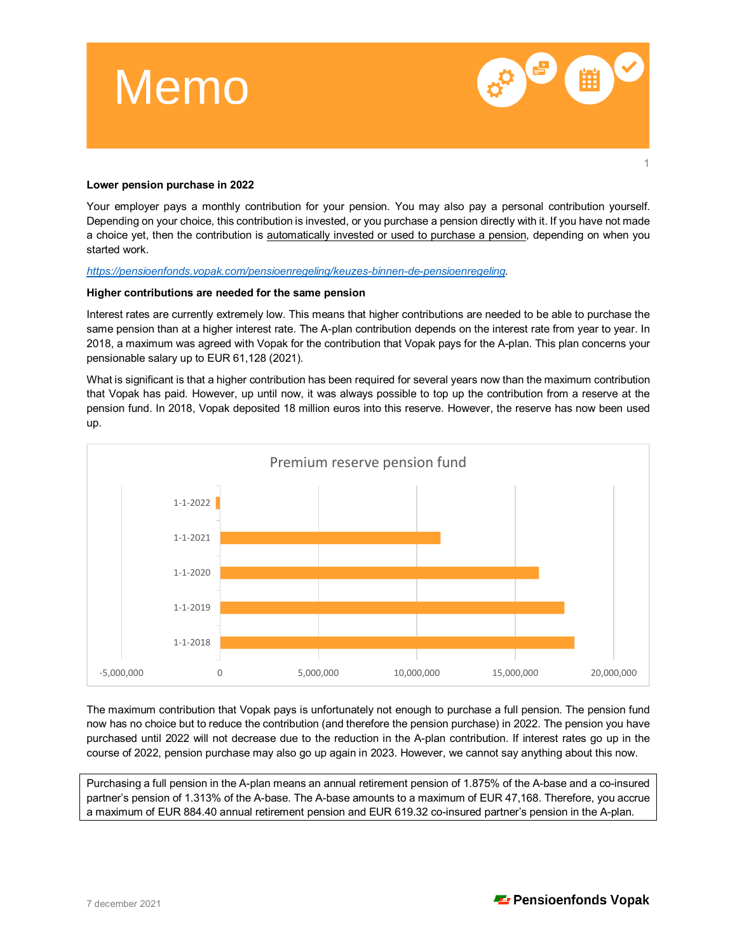

## **Lower pension purchase in 2022**

Your employer pays a monthly contribution for your pension. You may also pay a personal contribution yourself. Depending on your choice, this contribution is invested, or you purchase a pension directly with it. If you have not made a choice yet, then the contribution is automatically invested or used to purchase a pension, depending on when you started work.

*[https://pensioenfonds.vopak.com/pensioenregeling/keuzes-binnen-de-pensioenregeling.](https://pensioenfonds.vopak.com/pensioenregeling/keuzes-binnen-de-pensioenregeling)*

### **Higher contributions are needed for the same pension**

Interest rates are currently extremely low. This means that higher contributions are needed to be able to purchase the same pension than at a higher interest rate. The A-plan contribution depends on the interest rate from year to year. In 2018, a maximum was agreed with Vopak for the contribution that Vopak pays for the A-plan. This plan concerns your pensionable salary up to EUR 61,128 (2021).

What is significant is that a higher contribution has been required for several years now than the maximum contribution that Vopak has paid. However, up until now, it was always possible to top up the contribution from a reserve at the pension fund. In 2018, Vopak deposited 18 million euros into this reserve. However, the reserve has now been used up.



The maximum contribution that Vopak pays is unfortunately not enough to purchase a full pension. The pension fund now has no choice but to reduce the contribution (and therefore the pension purchase) in 2022. The pension you have purchased until 2022 will not decrease due to the reduction in the A-plan contribution. If interest rates go up in the course of 2022, pension purchase may also go up again in 2023. However, we cannot say anything about this now.

Purchasing a full pension in the A-plan means an annual retirement pension of 1.875% of the A-base and a co-insured partner's pension of 1.313% of the A-base. The A-base amounts to a maximum of EUR 47,168. Therefore, you accrue a maximum of EUR 884.40 annual retirement pension and EUR 619.32 co-insured partner's pension in the A-plan.

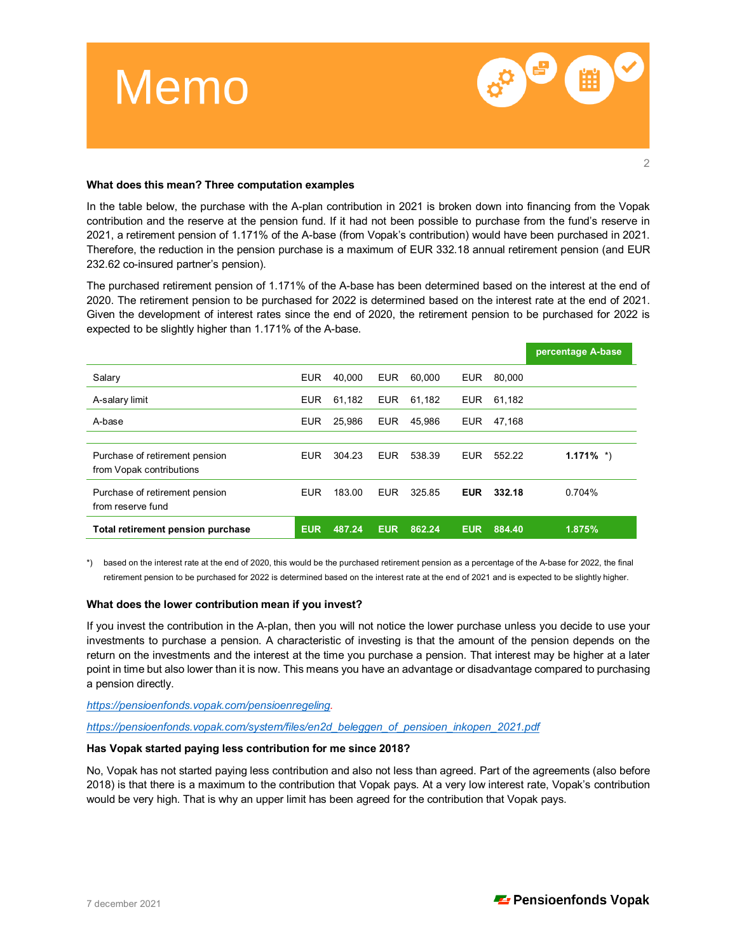

#### **What does this mean? Three computation examples**

In the table below, the purchase with the A-plan contribution in 2021 is broken down into financing from the Vopak contribution and the reserve at the pension fund. If it had not been possible to purchase from the fund's reserve in 2021, a retirement pension of 1.171% of the A-base (from Vopak's contribution) would have been purchased in 2021. Therefore, the reduction in the pension purchase is a maximum of EUR 332.18 annual retirement pension (and EUR 232.62 co-insured partner's pension).

The purchased retirement pension of 1.171% of the A-base has been determined based on the interest at the end of 2020. The retirement pension to be purchased for 2022 is determined based on the interest rate at the end of 2021. Given the development of interest rates since the end of 2020, the retirement pension to be purchased for 2022 is expected to be slightly higher than 1.171% of the A-base.

|                                                            |            |        |            |        |            |        | percentage A-base |
|------------------------------------------------------------|------------|--------|------------|--------|------------|--------|-------------------|
| Salary                                                     | <b>EUR</b> | 40,000 | <b>EUR</b> | 60.000 | <b>EUR</b> | 80.000 |                   |
| A-salary limit                                             | <b>EUR</b> | 61,182 | <b>EUR</b> | 61.182 | <b>EUR</b> | 61,182 |                   |
| A-base                                                     | EUR        | 25,986 | <b>EUR</b> | 45.986 | <b>EUR</b> | 47,168 |                   |
|                                                            |            |        |            |        |            |        |                   |
| Purchase of retirement pension<br>from Vopak contributions | <b>EUR</b> | 304.23 | <b>EUR</b> | 538.39 | <b>EUR</b> | 552.22 | $1.171\%$ *)      |
| Purchase of retirement pension<br>from reserve fund        | <b>EUR</b> | 183.00 | <b>EUR</b> | 325.85 | <b>EUR</b> | 332.18 | 0.704%            |
| Total retirement pension purchase                          | <b>EUR</b> | 487.24 | <b>EUR</b> | 862.24 | <b>EUR</b> | 884.40 | 1.875%            |

\*) based on the interest rate at the end of 2020, this would be the purchased retirement pension as a percentage of the A-base for 2022, the final retirement pension to be purchased for 2022 is determined based on the interest rate at the end of 2021 and is expected to be slightly higher.

### **What does the lower contribution mean if you invest?**

If you invest the contribution in the A-plan, then you will not notice the lower purchase unless you decide to use your investments to purchase a pension. A characteristic of investing is that the amount of the pension depends on the return on the investments and the interest at the time you purchase a pension. That interest may be higher at a later point in time but also lower than it is now. This means you have an advantage or disadvantage compared to purchasing a pension directly.

#### *[https://pensioenfonds.vopak.com/pensioenregeling.](https://pensioenfonds.vopak.com/pensioenregeling)*

### *[https://pensioenfonds.vopak.com/system/files/en2d\\_beleggen\\_of\\_pensioen\\_inkopen\\_2021.pdf](https://pensioenfonds.vopak.com/system/files/en2d_beleggen_of_pensioen_inkopen_2021.pdf)*

#### **Has Vopak started paying less contribution for me since 2018?**

No, Vopak has not started paying less contribution and also not less than agreed. Part of the agreements (also before 2018) is that there is a maximum to the contribution that Vopak pays. At a very low interest rate, Vopak's contribution would be very high. That is why an upper limit has been agreed for the contribution that Vopak pays.